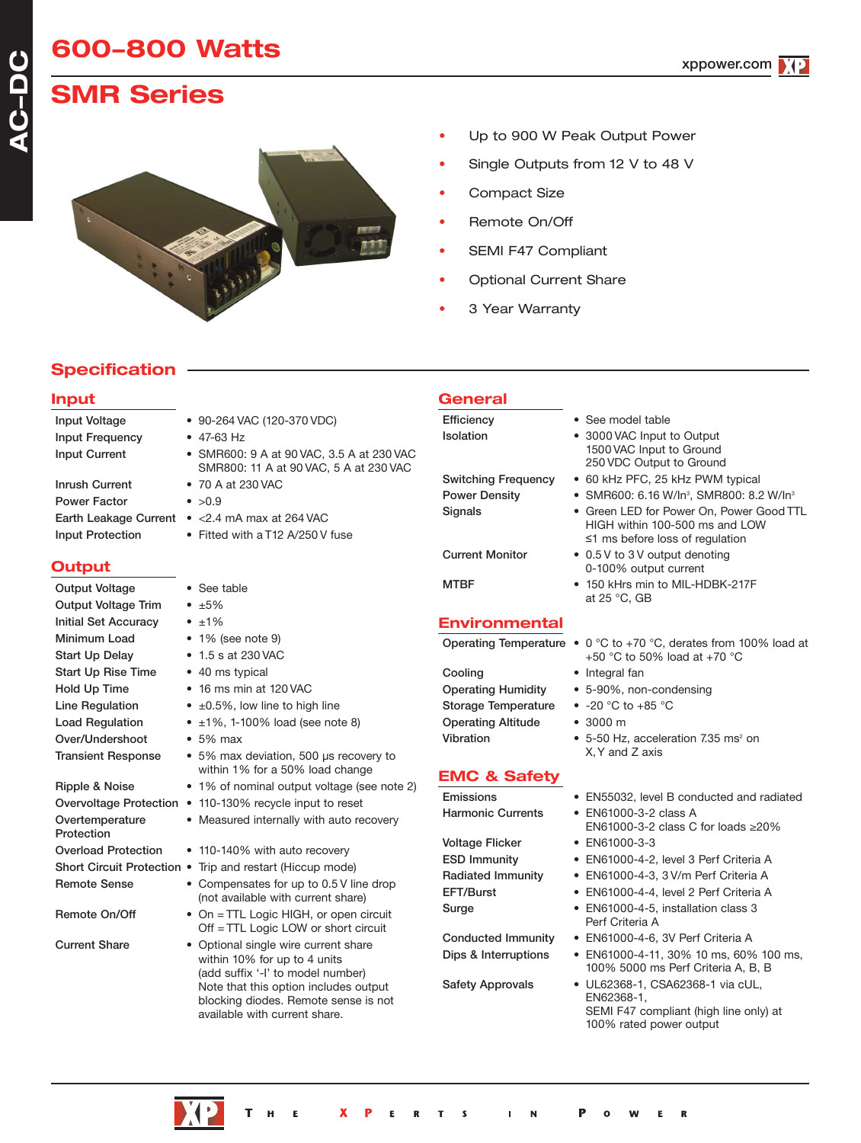# **600-800 Watts**

xppower.com

# **SMR Series**



- Up to 900 W Peak Output Power
- Single Outputs from 12 V to 48 V
- Compact Size
- Remote On/Off
- SEMI F47 Compliant
- Optional Current Share
- 3 Year Warranty

# **Specification**

### **Input**

| <b>Input Voltage</b>                                                                                           |
|----------------------------------------------------------------------------------------------------------------|
| <b>Input Frequency</b>                                                                                         |
| <b>Input Current</b>                                                                                           |
|                                                                                                                |
| <b>Inrush Current</b>                                                                                          |
| <b>Power Factor</b>                                                                                            |
| Earth Leakage Cur                                                                                              |
| La constata (1970), a constata de la constata de la constata de la constata de la constata de la constata de l |

# **Output**

| Output Voltage                | • See table                                                                                                                                                                              |
|-------------------------------|------------------------------------------------------------------------------------------------------------------------------------------------------------------------------------------|
| <b>Output Voltage Trim</b>    | $\cdot$ $\pm 5\%$                                                                                                                                                                        |
| <b>Initial Set Accuracy</b>   | $\bullet$ $\pm 1\%$                                                                                                                                                                      |
| Minimum Load                  | $\bullet$ 1% (see note 9)                                                                                                                                                                |
| <b>Start Up Delay</b>         | • 1.5 s at 230 VAC                                                                                                                                                                       |
| <b>Start Up Rise Time</b>     | • 40 ms typical                                                                                                                                                                          |
| Hold Up Time                  | $\bullet$ 16 ms min at 120 VAC                                                                                                                                                           |
| Line Regulation               | $\bullet$ $\pm 0.5\%$ , low line to high line                                                                                                                                            |
| <b>Load Regulation</b>        | $\pm 1\%$ , 1-100% load (see note 8)                                                                                                                                                     |
| Over/Undershoot               | $\bullet$ 5% max                                                                                                                                                                         |
| <b>Transient Response</b>     | • 5% max deviation, 500 us recovery to<br>within 1% for a 50% load change                                                                                                                |
| Ripple & Noise                | • 1% of nominal output voltage (see note 2)                                                                                                                                              |
| Overvoltage Protection        | • 110-130% recycle input to reset                                                                                                                                                        |
| Overtemperature<br>Protection | • Measured internally with auto recovery                                                                                                                                                 |
| <b>Overload Protection</b>    | • 110-140% with auto recovery                                                                                                                                                            |
|                               | Short Circuit Protection • Trip and restart (Hiccup mode)                                                                                                                                |
| <b>Remote Sense</b>           | • Compensates for up to 0.5 V line drop<br>(not available with current share)                                                                                                            |
| Remote On/Off                 | • On = TTL Logic HIGH, or open circuit<br>Off $=$ TTL Logic LOW or short circuit                                                                                                         |
| <b>Current Share</b>          | Optional single wire current share<br>within 10% for up to 4 units<br>(add suffix '-I' to model number)<br>Note that this option includes output<br>blocking diodes. Remote sense is not |

- 90-264 VAC (120-370 VDC)
- $47-63 Hz$
- SMR600: 9 A at 90 VAC, 3.5 A at 230 VAC SMR800: 11 A at 90 VAC, 5 A at 230 VAC
- $\bullet > 0.9$
- Tent  $\bullet$  <2.4 mA max at 264 VAC
- Input Protection Fitted with a T12 A/250 V fuse
	-
	-
	-
	-
	-
	-
	-
	-
	- a 50% load change
	-
	-
	-
	-
	-
	- vith current share)
	- c LOW or short circuit
	- up to 4 units to model number) option includes output es. Remote sense is not available with current share.

### **General** Efficiency • See model table

Isolation • 3000 VAC Input to Output Switching Frequency • 60 kHz PFC, 25 kHz PWM typical Power Density • SMR600: 6.16 W/ln<sup>3</sup>, SMR800: 8.2 W/ln<sup>3</sup> Signals • Green LED for Power On, Power Good TTL

Current Monitor • 0.5 V to 3 V output denoting

MTBF • 150 kHrs min to MIL-HDBK-217F

# **Environmental**

Cooling • Integral fan Storage Temperature • -20 °C to +85 °C Operating Altitude • 3000 m

# **EMC & Safety**

Harmonic Currents • EN61000-3-2 class A Voltage Flicker • EN61000-3-3

Operating Temperature • 0 °C to +70 °C, derates from 100% load at +50 °C to 50% load at +70 °C

HIGH within 100-500 ms and LOW ≤1 ms before loss of regulation

at 25 °C, GB

Operating Humidity • 5-90%, non-condensing

0-100% output current

1500 VAC Input to Ground 250 VDC Output to Ground

- 
- 
- Vibration  $5-50$  Hz, acceleration 7.35 ms<sup>2</sup> on X,Y and Z axis
- Emissions EN55032, level B conducted and radiated
	- EN61000-3-2 class C for loads ≥20%
		-
- ESD Immunity EN61000-4-2, level 3 Perf Criteria A
- Radiated Immunity EN61000-4-3, 3 V/m Perf Criteria A
- EFT/Burst EN61000-4-4, level 2 Perf Criteria A
- Surge EN61000-4-5, installation class 3 Perf Criteria A
- Conducted Immunity EN61000-4-6, 3V Perf Criteria A
- Dips & Interruptions EN61000-4-11, 30% 10 ms, 60% 100 ms, 100% 5000 ms Perf Criteria A, B, B
- Safety Approvals UL62368-1, CSA62368-1 via cUL, EN62368-1, SEMI F47 compliant (high line only) at 100% rated power output

R



• 70 A at 230 VAC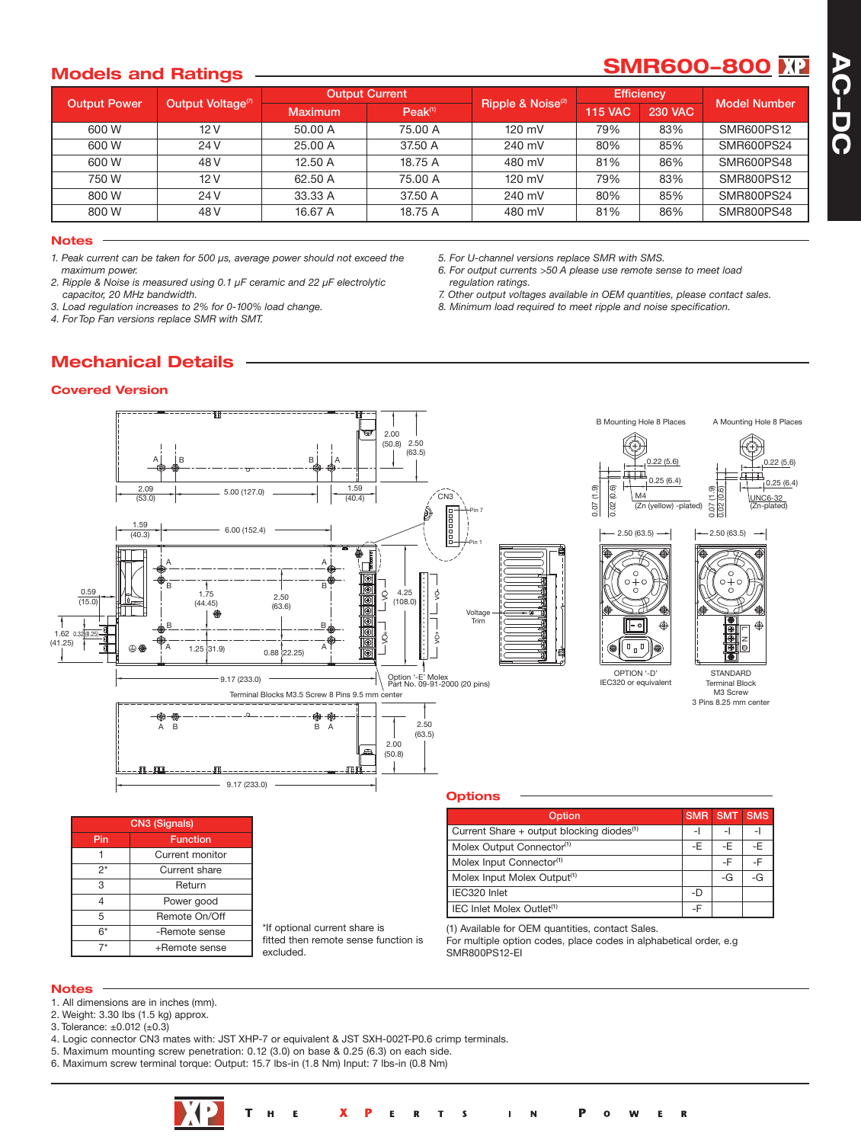# **Models** and Ratings **SMR600-800**

**A C - D C**

| <b>Output Power</b> |                               | <b>Output Current</b> |                     |                               | <b>Efficiency</b> |                |                     |
|---------------------|-------------------------------|-----------------------|---------------------|-------------------------------|-------------------|----------------|---------------------|
|                     | Output Voltage <sup>(7)</sup> | Maximum               | Peak <sup>(1)</sup> | Ripple & Noise <sup>(2)</sup> | <b>115 VAC</b>    | <b>230 VAC</b> | <b>Model Number</b> |
| 600 W               | 12V                           | 50.00 A               | 75.00 A             | $120$ mV                      | 79%               | 83%            | SMR600PS12          |
| 600 W               | 24 V                          | 25.00 A               | 37.50 A             | 240 mV                        | 80%               | 85%            | SMR600PS24          |
| 600 W               | 48 V                          | 12.50 A               | 18.75 A             | 480 mV                        | 81%               | 86%            | SMR600PS48          |
| 750 W               | 12V                           | 62.50 A               | 75.00 A             | $120 \text{ mV}$              | 79%               | 83%            | SMR800PS12          |
| 800 W               | 24 V                          | 33.33 A               | 37.50 A             | 240 mV                        | 80%               | 85%            | SMR800PS24          |
| 800 W               | 48 V                          | 16.67 A               | 18.75 A             | 480 mV                        | 81%               | 86%            | SMR800PS48          |

#### **Notes**

*1. Peak current can be taken for 500 µs, average power should not exceed the maximum power.*

*2. Ripple & Noise is measured using 0.1 µF ceramic and 22 µF electrolytic capacitor, 20 MHz bandwidth.*

*3. Load regulation increases to 2% for 0-100% load change.*

*4. For Top Fan versions replace SMR with SMT.*

*5. For U-channel versions replace SMR with SMS.*

*6. For output currents >50 A please use remote sense to meet load regulation ratings.*

*7. Other output voltages available in OEM quantities, please contact sales. 8. Minimum load required to meet ripple and noise specification.*

# **Mechanical Details**





#### **Notes**

- 1. All dimensions are in inches (mm).
- 2. Weight: 3.30 lbs (1.5 kg) approx.
- 3. Tolerance: ±0.012 (±0.3)
- 4. Logic connector CN3 mates with: JST XHP-7 or equivalent & JST SXH-002T-P0.6 crimp terminals.
- 5. Maximum mounting screw penetration: 0.12 (3.0) on base & 0.25 (6.3) on each side.
- 6. Maximum screw terminal torque: Output: 15.7 lbs-in (1.8 Nm) Input: 7 lbs-in (0.8 Nm)

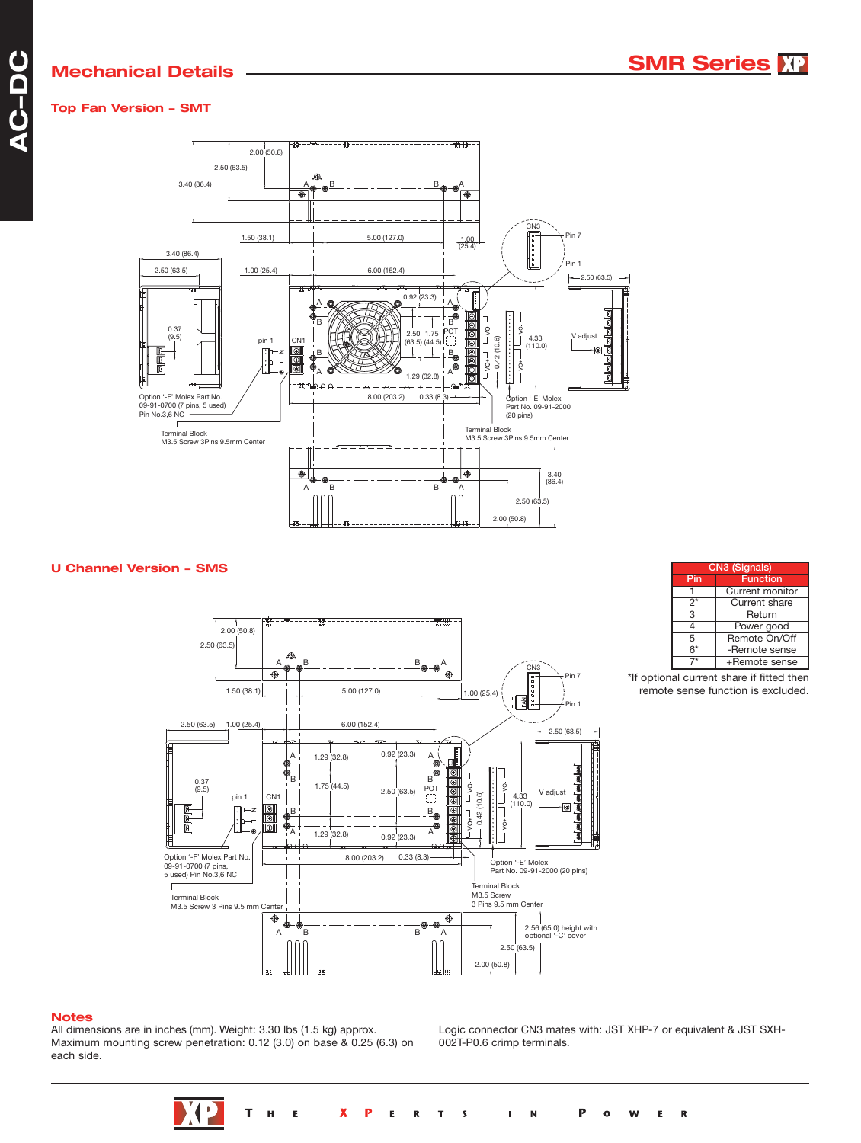# **Top Fan Version - SMT**



## **U Channel Version - SMS**



| CN3 (Signals) |                 |  |  |  |
|---------------|-----------------|--|--|--|
| Pin           | <b>Function</b> |  |  |  |
|               | Current monitor |  |  |  |
| 2*            | Current share   |  |  |  |
| 3             | Return          |  |  |  |
| 1             | Power good      |  |  |  |
| 5             | Remote On/Off   |  |  |  |
| $6*$          | -Remote sense   |  |  |  |
|               | +Remote sense   |  |  |  |

<sup>\*</sup>If optional current share if fitted then remote sense function is excluded.

#### **Notes**

All dimensions are in inches (mm). Weight: 3.30 lbs (1.5 kg) approx. Maximum mounting screw penetration: 0.12 (3.0) on base & 0.25 (6.3) on each side.

Logic connector CN3 mates with: JST XHP-7 or equivalent & JST SXH-002T-P0.6 crimp terminals.